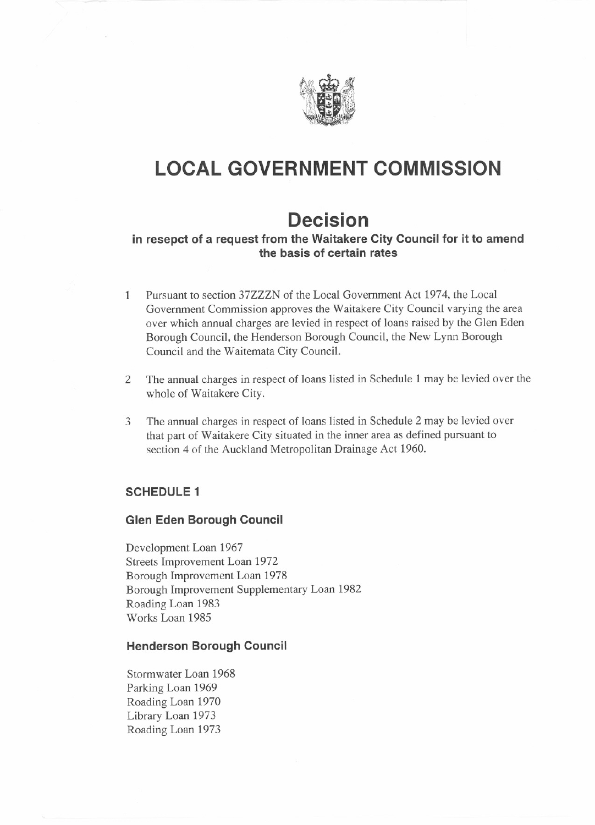

# **LOCAL GOVERNMENT COMMISSION**

## **Decision**

## **in resepct of a request from the Waitakere City Council for it to amend the basis of certain rates**

- 1 Pursuant to section 37ZZZN of the Local Government Act 1974, the Local Government Commission approves the Waitakere City Council varying the area over which annual charges are levied in respect of loans raised by the Glen Eden Borough Council, the Henderson Borough Council, the New Lynn Borough Council and the Waitemata City Council.
- 2 The annual charges in respect of loans listed in Schedule 1 may be levied over the whole of Waitakere City.
- 3 The annual charges in respect of loans listed in Schedule 2 may be levied over that part of Waitakere City situated in the inner area as defined pursuant to section 4 of the Auckland Metropolitan Drainage Act 1960.

## **SCHEDULE 1**

## **Glen Eden Borough Council**

Development Loan 1967 Streets Improvement Loan 1972 Borough Improvement Loan 1978 Borough Improvement Supplementary Loan 1982 Roading Loan 1983 Works Loan 1985

#### **Henderson Borough Council**

Stormwater Loan 1968 Parking Loan 1969 Roading Loan 1970 Library Loan 1973 Roading Loan 1973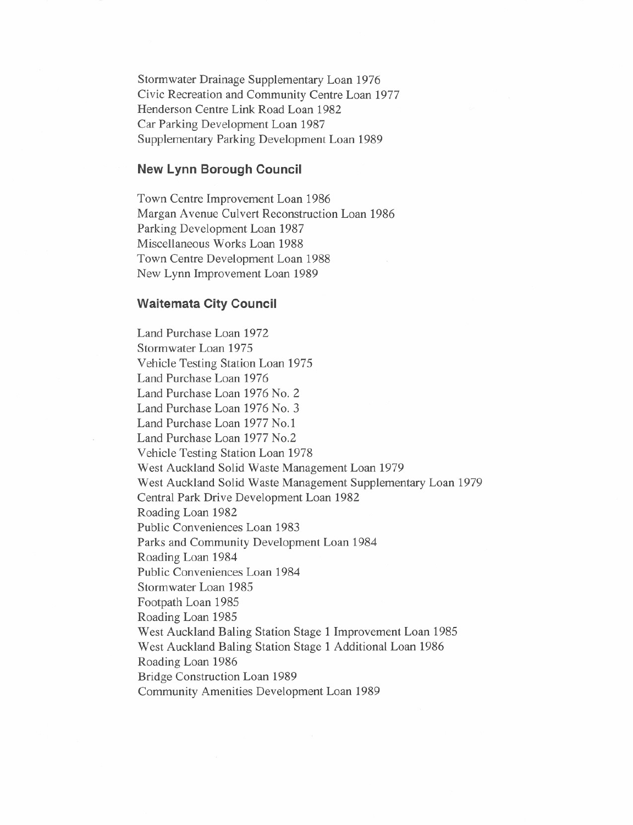Stormwater Drainage Supplementary Loan 1976 Civic Recreation and Community Centre Loan 1977 Henderson Centre Link Road Loan 1982 Car Parking Development Loan 1987 Supplementary Parking Development Loan 1989

#### **New Lynn Borough Council**

Town Centre Improvement Loan 1986 Margan Avenue Culvert Reconstruction Loan 1986 Parking Development Loan 1987 Miscellaneous Works Loan 1988 Town Centre Development Loan 1988 New Lynn Improvement Loan 1989

#### **Waitemata City Council**

Land Purchase Loan 1972 Stormwater Loan 1975 Vehicle Testing Station Loan 1975 Land Purchase Loan 1976 Land Purchase Loan 1976 No. 2 Land Purchase Loan 1976 No. 3 Land Purchase Loan 1977 No.1 Land Purchase Loan 1977 No.2 Vehicle Testing Station Loan 1978 West Auckland Solid Waste Management Loan 1979 West Auckland Solid Waste Management Supplementary Loan 1979 Central Park Drive Development Loan 1982 Roading Loan 1982 Public Conveniences Loan 1983 Parks and Community Development Loan 1984 Roading Loan 1984 Public Conveniences Loan 1984 Stormwater Loan 1985 Footpath Loan 1985 Roading Loan 1985 West Auckland Baling Station Stage 1 Improvement Loan 1985 West Auckland Baling Station Stage 1 Additional Loan 1986 Roading Loan 1986 Bridge Construction Loan 1989 Community Amenities Development Loan 1989